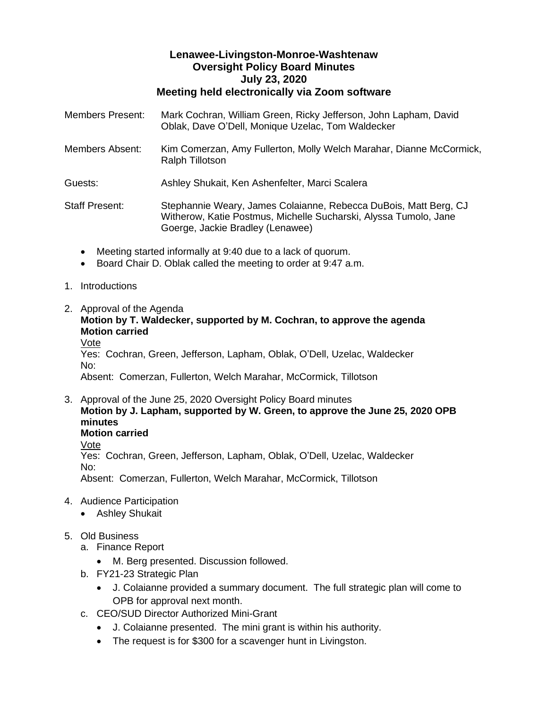## **Lenawee-Livingston-Monroe-Washtenaw Oversight Policy Board Minutes July 23, 2020 Meeting held electronically via Zoom software**

| <b>Members Present:</b> | Mark Cochran, William Green, Ricky Jefferson, John Lapham, David<br>Oblak, Dave O'Dell, Monique Uzelac, Tom Waldecker                                                    |
|-------------------------|--------------------------------------------------------------------------------------------------------------------------------------------------------------------------|
| Members Absent:         | Kim Comerzan, Amy Fullerton, Molly Welch Marahar, Dianne McCormick,<br><b>Ralph Tillotson</b>                                                                            |
| Guests:                 | Ashley Shukait, Ken Ashenfelter, Marci Scalera                                                                                                                           |
| <b>Staff Present:</b>   | Stephannie Weary, James Colaianne, Rebecca DuBois, Matt Berg, CJ<br>Witherow, Katie Postmus, Michelle Sucharski, Alyssa Tumolo, Jane<br>Goerge, Jackie Bradley (Lenawee) |

- Meeting started informally at 9:40 due to a lack of quorum.
- Board Chair D. Oblak called the meeting to order at 9:47 a.m.

### 1. Introductions

2. Approval of the Agenda

**Motion by T. Waldecker, supported by M. Cochran, to approve the agenda Motion carried**

Vote

Yes: Cochran, Green, Jefferson, Lapham, Oblak, O'Dell, Uzelac, Waldecker No: Absent: Comerzan, Fullerton, Welch Marahar, McCormick, Tillotson

3. Approval of the June 25, 2020 Oversight Policy Board minutes **Motion by J. Lapham, supported by W. Green, to approve the June 25, 2020 OPB minutes Motion carried**

Vote Yes: Cochran, Green, Jefferson, Lapham, Oblak, O'Dell, Uzelac, Waldecker No: Absent: Comerzan, Fullerton, Welch Marahar, McCormick, Tillotson

- 4. Audience Participation
	- Ashley Shukait
- 5. Old Business
	- a. Finance Report
		- M. Berg presented. Discussion followed.
	- b. FY21-23 Strategic Plan
		- J. Colaianne provided a summary document. The full strategic plan will come to OPB for approval next month.
	- c. CEO/SUD Director Authorized Mini-Grant
		- J. Colaianne presented. The mini grant is within his authority.
		- The request is for \$300 for a scavenger hunt in Livingston.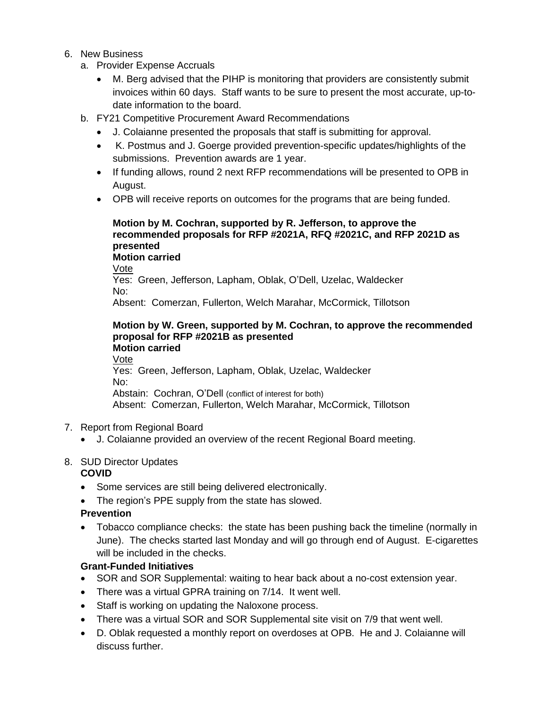- 6. New Business
	- a. Provider Expense Accruals
		- M. Berg advised that the PIHP is monitoring that providers are consistently submit invoices within 60 days. Staff wants to be sure to present the most accurate, up-todate information to the board.
	- b. FY21 Competitive Procurement Award Recommendations
		- J. Colaianne presented the proposals that staff is submitting for approval.
		- K. Postmus and J. Goerge provided prevention-specific updates/highlights of the submissions. Prevention awards are 1 year.
		- If funding allows, round 2 next RFP recommendations will be presented to OPB in August.
		- OPB will receive reports on outcomes for the programs that are being funded.

#### **Motion by M. Cochran, supported by R. Jefferson, to approve the recommended proposals for RFP #2021A, RFQ #2021C, and RFP 2021D as presented Motion carried**

Vote

Yes: Green, Jefferson, Lapham, Oblak, O'Dell, Uzelac, Waldecker No:

Absent: Comerzan, Fullerton, Welch Marahar, McCormick, Tillotson

#### **Motion by W. Green, supported by M. Cochran, to approve the recommended proposal for RFP #2021B as presented Motion carried**

Vote

Yes: Green, Jefferson, Lapham, Oblak, Uzelac, Waldecker No: Abstain: Cochran, O'Dell (conflict of interest for both) Absent: Comerzan, Fullerton, Welch Marahar, McCormick, Tillotson

- 7. Report from Regional Board
	- J. Colaianne provided an overview of the recent Regional Board meeting.

### 8. SUD Director Updates

### **COVID**

- Some services are still being delivered electronically.
- The region's PPE supply from the state has slowed.

# **Prevention**

• Tobacco compliance checks: the state has been pushing back the timeline (normally in June). The checks started last Monday and will go through end of August. E-cigarettes will be included in the checks.

# **Grant-Funded Initiatives**

- SOR and SOR Supplemental: waiting to hear back about a no-cost extension year.
- There was a virtual GPRA training on 7/14. It went well.
- Staff is working on updating the Naloxone process.
- There was a virtual SOR and SOR Supplemental site visit on 7/9 that went well.
- D. Oblak requested a monthly report on overdoses at OPB. He and J. Colaianne will discuss further.